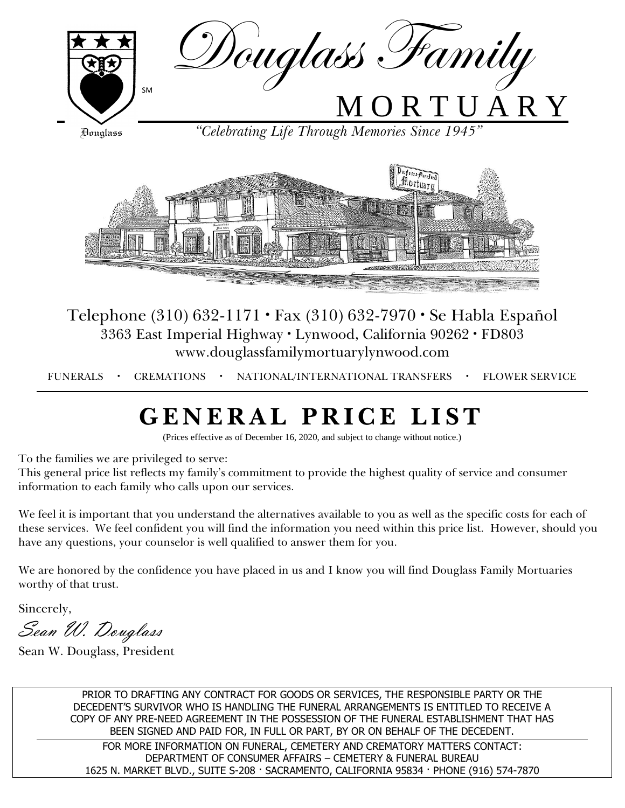

Telephone (310) 632-1171 · Fax (310) 632-7970 · Se Habla Español 3363 East Imperial Highway · Lynwood, California 90262 · FD803 www.douglassfamilymortuarylynwood.com

FUNERALS · CREMATIONS · NATIONAL/INTERNATIONAL TRANSFERS · FLOWER SERVICE

# **G E N E R A L P R I C E L I S T**

(Prices effective as of December 16, 2020, and subject to change without notice.)

To the families we are privileged to serve:

This general price list reflects my family's commitment to provide the highest quality of service and consumer information to each family who calls upon our services.

We feel it is important that you understand the alternatives available to you as well as the specific costs for each of these services. We feel confident you will find the information you need within this price list. However, should you have any questions, your counselor is well qualified to answer them for you.

We are honored by the confidence you have placed in us and I know you will find Douglass Family Mortuaries worthy of that trust.

Sincerely,

Sean W. Douglass

Sean W. Douglass, President

PRIOR TO DRAFTING ANY CONTRACT FOR GOODS OR SERVICES, THE RESPONSIBLE PARTY OR THE DECEDENT'S SURVIVOR WHO IS HANDLING THE FUNERAL ARRANGEMENTS IS ENTITLED TO RECEIVE A COPY OF ANY PRE-NEED AGREEMENT IN THE POSSESSION OF THE FUNERAL ESTABLISHMENT THAT HAS BEEN SIGNED AND PAID FOR, IN FULL OR PART, BY OR ON BEHALF OF THE DECEDENT. FOR MORE INFORMATION ON FUNERAL, CEMETERY AND CREMATORY MATTERS CONTACT: DEPARTMENT OF CONSUMER AFFAIRS – CEMETERY & FUNERAL BUREAU 1625 N. MARKET BLVD., SUITE S-208 · SACRAMENTO, CALIFORNIA 95834 · PHONE (916) 574-7870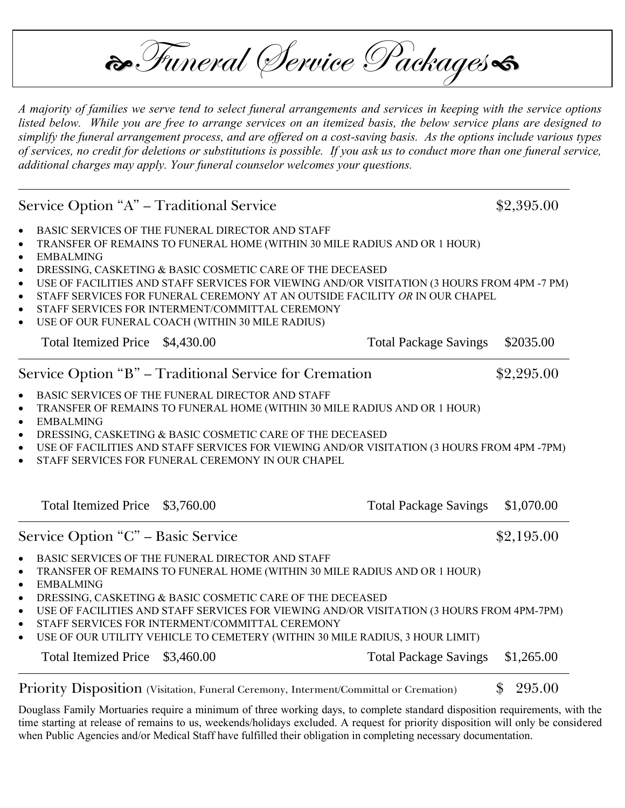$\partial$ Funeral (Service Packages

*A majority of families we serve tend to select funeral arrangements and services in keeping with the service options listed below. While you are free to arrange services on an itemized basis, the below service plans are designed to simplify the funeral arrangement process, and are offered on a cost-saving basis. As the options include various types of services, no credit for deletions or substitutions is possible. If you ask us to conduct more than one funeral service, additional charges may apply. Your funeral counselor welcomes your questions.*

Service Option "A" – Traditional Service  $$2,395.00$ 

- **BASIC SERVICES OF THE FUNERAL DIRECTOR AND STAFF**
- **TRANSFER OF REMAINS TO FUNERAL HOME (WITHIN 30 MILE RADIUS AND OR 1 HOUR)**
- **EMBALMING**
- **DRESSING, CASKETING & BASIC COSMETIC CARE OF THE DECEASED**
- **USE OF FACILITIES AND STAFF SERVICES FOR VIEWING AND/OR VISITATION (3 HOURS FROM 4PM -7 PM)**
- **STAFF SERVICES FOR FUNERAL CEREMONY AT AN OUTSIDE FACILITY** *OR* **IN OUR CHAPEL**
- **STAFF SERVICES FOR INTERMENT/COMMITTAL CEREMONY**
- **USE OF OUR FUNERAL COACH (WITHIN 30 MILE RADIUS)**

Total Itemized Price \$4,430.00 Total Package Savings \$2035.00

Service Option "B" – Traditional Service for Cremation \$2,295.00

- **BASIC SERVICES OF THE FUNERAL DIRECTOR AND STAFF**
- **TRANSFER OF REMAINS TO FUNERAL HOME (WITHIN 30 MILE RADIUS AND OR 1 HOUR)**
- **EMBALMING**
- **DRESSING, CASKETING & BASIC COSMETIC CARE OF THE DECEASED**
- **USE OF FACILITIES AND STAFF SERVICES FOR VIEWING AND/OR VISITATION (3 HOURS FROM 4PM -7PM)**
- **STAFF SERVICES FOR FUNERAL CEREMONY IN OUR CHAPEL**

| Total Itemized Price \$3,760.00                                                             | <b>Total Package Savings</b> | \$1,070.00 |
|---------------------------------------------------------------------------------------------|------------------------------|------------|
| Service Option "C" – Basic Service                                                          |                              | \$2,195.00 |
| BASIC SERVICES OF THE FUNERAL DIRECTOR AND STAFF<br>$\bullet$                               |                              |            |
| • TRANSFER OF REMAINS TO FUNERAL HOME (WITHIN 30 MILE RADIUS AND OR 1 HOUR)                 |                              |            |
| $\bullet$ EMBALMING                                                                         |                              |            |
| • DRESSING, CASKETING & BASIC COSMETIC CARE OF THE DECEASED                                 |                              |            |
| • USE OF FACILITIES AND STAFF SERVICES FOR VIEWING AND/OR VISITATION (3 HOURS FROM 4PM-7PM) |                              |            |
| • STAFF SERVICES FOR INTERMENT/COMMITTAL CEREMONY                                           |                              |            |
| • USE OF OUR UTILITY VEHICLE TO CEMETERY (WITHIN 30 MILE RADIUS, 3 HOUR LIMIT)              |                              |            |
| Total Itemized Price \$3,460.00                                                             | <b>Total Package Savings</b> | \$1,265.00 |

Priority Disposition (Visitation, Funeral Ceremony, Interment/Committal or Cremation) \$295.00

**Douglass Family Mortuaries require a minimum of three working days, to complete standard disposition requirements, with the time starting at release of remains to us, weekends/holidays excluded. A request for priority disposition will only be considered when Public Agencies and/or Medical Staff have fulfilled their obligation in completing necessary documentation.**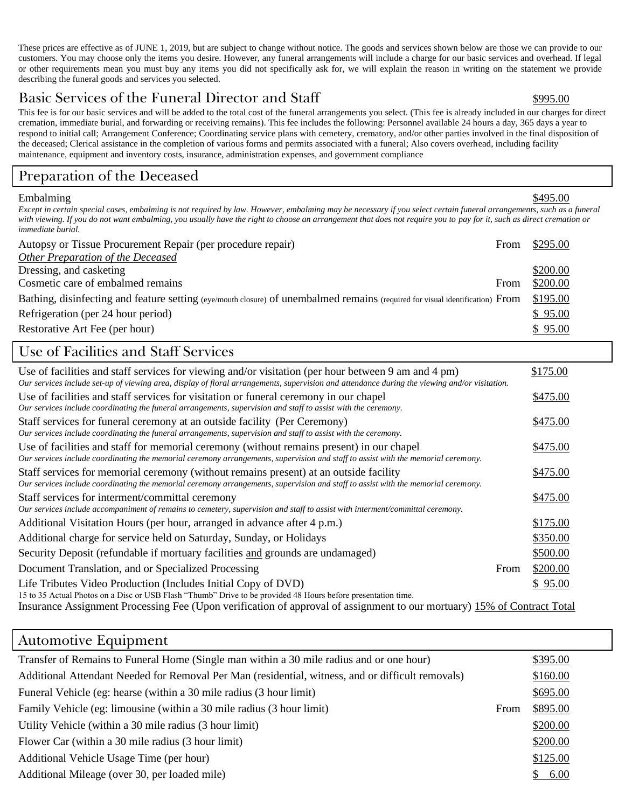These prices are effective as of JUNE 1, 2019, but are subject to change without notice. The goods and services shown below are those we can provide to our customers. You may choose only the items you desire. However, any funeral arrangements will include a charge for our basic services and overhead. If legal or other requirements mean you must buy any items you did not specifically ask for, we will explain the reason in writing on the statement we provide describing the funeral goods and services you selected.

## Basic Services of the Funeral Director and Staff  $\frac{\text{5995.00}}{\text{5995.00}}$

This fee is for our basic services and will be added to the total cost of the funeral arrangements you select. (This fee is already included in our charges for direct cremation, immediate burial, and forwarding or receiving remains). This fee includes the following: Personnel available 24 hours a day, 365 days a year to respond to initial call; Arrangement Conference; Coordinating service plans with cemetery, crematory, and/or other parties involved in the final disposition of the deceased; Clerical assistance in the completion of various forms and permits associated with a funeral; Also covers overhead, including facility maintenance, equipment and inventory costs, insurance, administration expenses, and government compliance

## Preparation of the Deceased

#### Embalming \$495.00

*Except in certain special cases, embalming is not required by law. However, embalming may be necessary if you select certain funeral arrangements, such as a funeral with viewing. If you do not want embalming, you usually have the right to choose an arrangement that does not require you to pay for it, such as direct cremation or immediate burial.*

| Autopsy or Tissue Procurement Repair (per procedure repair)                                                                   | From | \$295.00 |
|-------------------------------------------------------------------------------------------------------------------------------|------|----------|
| Other Preparation of the Deceased                                                                                             |      |          |
| Dressing, and casketing                                                                                                       |      | \$200.00 |
| Cosmetic care of embalmed remains                                                                                             | From | \$200.00 |
| Bathing, disinfecting and feature setting (eye/mouth closure) of unembalmed remains (required for visual identification) From |      | \$195.00 |
| Refrigeration (per 24 hour period)                                                                                            |      | \$95.00  |
| Restorative Art Fee (per hour)                                                                                                |      | \$95.00  |

## Use of Facilities and Staff Services

| Use of facilities and staff services for viewing and/or visitation (per hour between 9 am and 4 pm)<br>Our services include set-up of viewing area, display of floral arrangements, supervision and attendance during the viewing and/or visitation. |      | \$175.00 |
|------------------------------------------------------------------------------------------------------------------------------------------------------------------------------------------------------------------------------------------------------|------|----------|
| Use of facilities and staff services for visitation or funeral ceremony in our chapel<br>Our services include coordinating the funeral arrangements, supervision and staff to assist with the ceremony.                                              |      | \$475.00 |
| Staff services for funeral ceremony at an outside facility (Per Ceremony)<br>Our services include coordinating the funeral arrangements, supervision and staff to assist with the ceremony.                                                          |      | \$475.00 |
| Use of facilities and staff for memorial ceremony (without remains present) in our chapel<br>Our services include coordinating the memorial ceremony arrangements, supervision and staff to assist with the memorial ceremony.                       |      | \$475.00 |
| Staff services for memorial ceremony (without remains present) at an outside facility<br>Our services include coordinating the memorial ceremony arrangements, supervision and staff to assist with the memorial ceremony.                           |      | \$475.00 |
| Staff services for interment/committal ceremony<br>Our services include accompaniment of remains to cemetery, supervision and staff to assist with interment/committal ceremony.                                                                     |      | \$475.00 |
| Additional Visitation Hours (per hour, arranged in advance after 4 p.m.)                                                                                                                                                                             |      | \$175.00 |
| Additional charge for service held on Saturday, Sunday, or Holidays                                                                                                                                                                                  |      | \$350.00 |
| Security Deposit (refundable if mortuary facilities and grounds are undamaged)                                                                                                                                                                       |      | \$500.00 |
| Document Translation, and or Specialized Processing                                                                                                                                                                                                  | From | \$200.00 |
| Life Tributes Video Production (Includes Initial Copy of DVD)<br>15 to 35 Actual Photos on a Disc or USB Flash "Thumb" Drive to be provided 48 Hours before presentation time.                                                                       |      | \$95.00  |
| Insurance Assignment Processing Fee (Upon verification of approval of assignment to our mortuary) 15% of Contract Total                                                                                                                              |      |          |

### Automotive Equipment

| Transfer of Remains to Funeral Home (Single man within a 30 mile radius and or one hour)          |      | \$395.00 |
|---------------------------------------------------------------------------------------------------|------|----------|
| Additional Attendant Needed for Removal Per Man (residential, witness, and or difficult removals) |      | \$160.00 |
| Funeral Vehicle (eg: hearse (within a 30 mile radius (3 hour limit)                               |      | \$695.00 |
| Family Vehicle (eg: limousine (within a 30 mile radius (3 hour limit)                             | From | \$895.00 |
| Utility Vehicle (within a 30 mile radius (3 hour limit)                                           |      | \$200.00 |
| Flower Car (within a 30 mile radius (3 hour limit)                                                |      | \$200.00 |
| Additional Vehicle Usage Time (per hour)                                                          |      | \$125.00 |
| Additional Mileage (over 30, per loaded mile)                                                     |      | \$6.00   |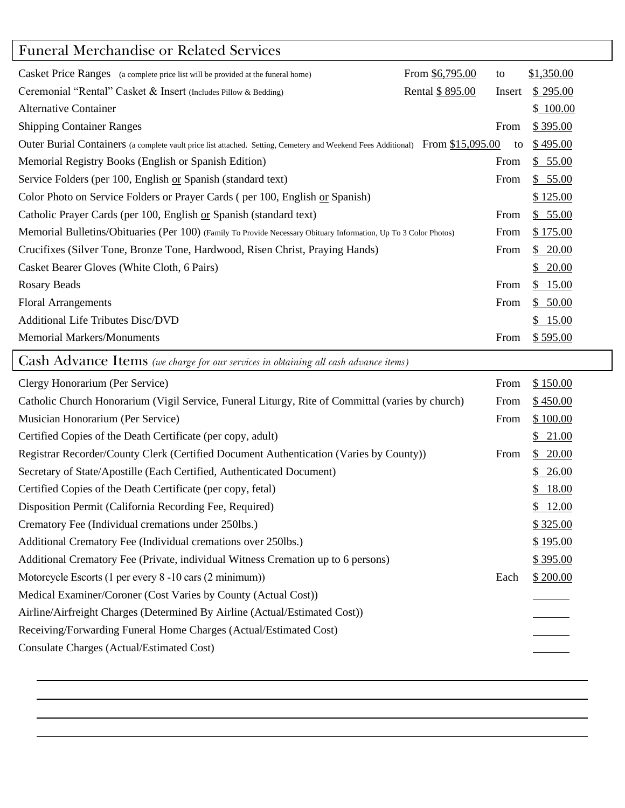## Funeral Merchandise or Related Services

| From \$6,795.00<br>Casket Price Ranges (a complete price list will be provided at the funeral home)                            | to     | \$1,350.00 |
|--------------------------------------------------------------------------------------------------------------------------------|--------|------------|
| Rental \$895.00<br>Ceremonial "Rental" Casket & Insert (Includes Pillow & Bedding)                                             | Insert | \$295.00   |
| <b>Alternative Container</b>                                                                                                   |        | \$100.00   |
| <b>Shipping Container Ranges</b>                                                                                               | From   | \$395.00   |
| Outer Burial Containers (a complete vault price list attached. Setting, Cemetery and Weekend Fees Additional) From \$15,095.00 | to     | \$495.00   |
| Memorial Registry Books (English or Spanish Edition)                                                                           | From   | \$55.00    |
| Service Folders (per 100, English or Spanish (standard text)                                                                   | From   | \$55.00    |
| Color Photo on Service Folders or Prayer Cards (per 100, English or Spanish)                                                   |        | \$125.00   |
| Catholic Prayer Cards (per 100, English or Spanish (standard text)                                                             | From   | \$55.00    |
| Memorial Bulletins/Obituaries (Per 100) (Family To Provide Necessary Obituary Information, Up To 3 Color Photos)               | From   | \$175.00   |
| Crucifixes (Silver Tone, Bronze Tone, Hardwood, Risen Christ, Praying Hands)                                                   | From   | \$20.00    |
| Casket Bearer Gloves (White Cloth, 6 Pairs)                                                                                    |        | \$20.00    |
| Rosary Beads                                                                                                                   | From   | \$15.00    |
| <b>Floral Arrangements</b>                                                                                                     | From   | \$50.00    |
| <b>Additional Life Tributes Disc/DVD</b>                                                                                       |        | \$15.00    |
| <b>Memorial Markers/Monuments</b>                                                                                              | From   | \$595.00   |

Cash Advance Items *(we charge for our services in obtaining all cash advance items)*

| Clergy Honorarium (Per Service)                                                                  | From | \$150.00 |
|--------------------------------------------------------------------------------------------------|------|----------|
| Catholic Church Honorarium (Vigil Service, Funeral Liturgy, Rite of Committal (varies by church) | From | \$450.00 |
| Musician Honorarium (Per Service)                                                                | From | \$100.00 |
| Certified Copies of the Death Certificate (per copy, adult)                                      |      | \$21.00  |
| Registrar Recorder/County Clerk (Certified Document Authentication (Varies by County))           | From | \$20.00  |
| Secretary of State/Apostille (Each Certified, Authenticated Document)                            |      | \$26.00  |
| Certified Copies of the Death Certificate (per copy, fetal)                                      |      | \$18.00  |
| Disposition Permit (California Recording Fee, Required)                                          |      | \$12.00  |
| Crematory Fee (Individual cremations under 250lbs.)                                              |      | \$325.00 |
| Additional Crematory Fee (Individual cremations over 250lbs.)                                    |      | \$195.00 |
| Additional Crematory Fee (Private, individual Witness Cremation up to 6 persons)                 |      | \$395.00 |
| Motorcycle Escorts (1 per every 8 -10 cars (2 minimum))                                          | Each | \$200.00 |
| Medical Examiner/Coroner (Cost Varies by County (Actual Cost))                                   |      |          |
| Airline/Airfreight Charges (Determined By Airline (Actual/Estimated Cost))                       |      |          |
| Receiving/Forwarding Funeral Home Charges (Actual/Estimated Cost)                                |      |          |
| Consulate Charges (Actual/Estimated Cost)                                                        |      |          |
|                                                                                                  |      |          |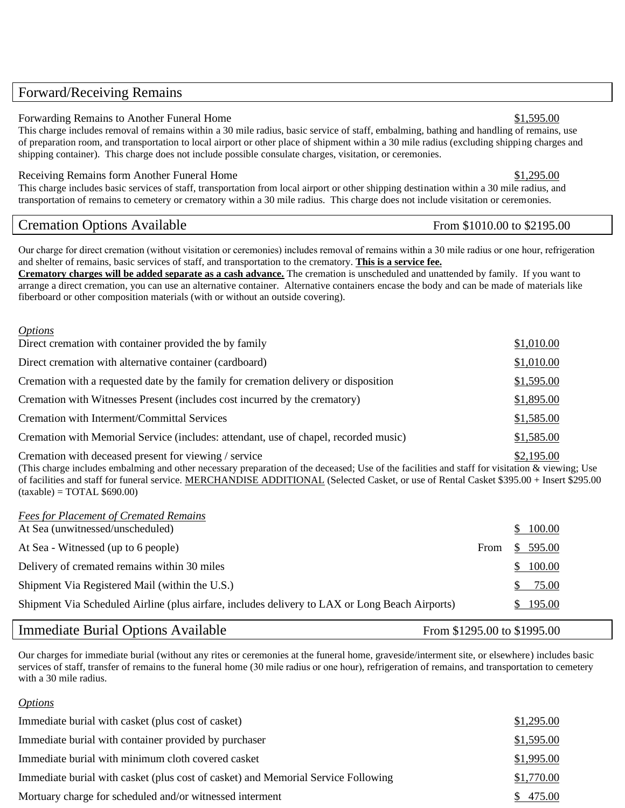### Forward/Receiving Remains

#### Forwarding Remains to Another Funeral Home  $$1,595.00$

This charge includes removal of remains within a 30 mile radius, basic service of staff, embalming, bathing and handling of remains, use of preparation room, and transportation to local airport or other place of shipment within a 30 mile radius (excluding shipping charges and shipping container). This charge does not include possible consulate charges, visitation, or ceremonies.

#### Receiving Remains form Another Funeral Home **\$1,295.00** \$1,295.00

This charge includes basic services of staff, transportation from local airport or other shipping destination within a 30 mile radius, and transportation of remains to cemetery or crematory within a 30 mile radius. This charge does not include visitation or ceremonies.

### Cremation Options Available From \$1010.00 to \$2195.00

**Our charge for direct cremation (without visitation or ceremonies) includes removal of remains within a 30 mile radius or one hour, refrigeration** and shelter of remains, basic services of staff, and transportation to the crematory. **This is a service fee.**

**Crematory charges will be added separate as a cash advance.** The cremation is unscheduled and unattended by family. If you want to arrange a direct cremation, you can use an alternative container. Alternative containers encase the body and can be made of materials like fiberboard or other composition materials (with or without an outside covering).

#### *Options*

| Direct cremation with container provided the by family                               | \$1,010.00 |
|--------------------------------------------------------------------------------------|------------|
| Direct cremation with alternative container (cardboard)                              | \$1,010.00 |
| Cremation with a requested date by the family for cremation delivery or disposition  | \$1,595.00 |
| Cremation with Witnesses Present (includes cost incurred by the crematory)           | \$1,895.00 |
| Cremation with Interment/Committal Services                                          | \$1,585.00 |
| Cremation with Memorial Service (includes: attendant, use of chapel, recorded music) | \$1,585.00 |
|                                                                                      | 0.10500    |

Cremation with deceased present for viewing / service  $$2,195.00$ (This charge includes embalming and other necessary preparation of the deceased; Use of the facilities and staff for visitation & viewing; Use of facilities and staff for funeral service. MERCHANDISE ADDITIONAL (Selected Casket, or use of Rental Casket \$395.00 + Insert \$295.00  $(taxable) = TOTAL $690.00$ 

| <b>Fees for Placement of Cremated Remains</b>                                                  |      |          |
|------------------------------------------------------------------------------------------------|------|----------|
| At Sea (unwitnessed/unscheduled)                                                               |      | \$100.00 |
| At Sea - Witnessed (up to 6 people)                                                            | From | \$595.00 |
| Delivery of cremated remains within 30 miles                                                   |      | \$100.00 |
| Shipment Via Registered Mail (within the U.S.)                                                 |      | 75.00    |
| Shipment Via Scheduled Airline (plus airfare, includes delivery to LAX or Long Beach Airports) |      | \$195.00 |

### Immediate Burial Options Available From \$1295.00 to \$1995.00

Our charges for immediate burial (without any rites or ceremonies at the funeral home, graveside/interment site, or elsewhere) includes basic services of staff, transfer of remains to the funeral home (**30 mile radius or one hour)**, refrigeration of remains, and transportation to cemetery with a 30 mile radius.

#### *Options*

| Immediate burial with casket (plus cost of casket)                                | \$1,295.00 |
|-----------------------------------------------------------------------------------|------------|
| Immediate burial with container provided by purchaser                             | \$1,595.00 |
| Immediate burial with minimum cloth covered casket                                | \$1,995.00 |
| Immediate burial with casket (plus cost of casket) and Memorial Service Following | \$1,770.00 |
| Mortuary charge for scheduled and/or witnessed interment                          | \$475.00   |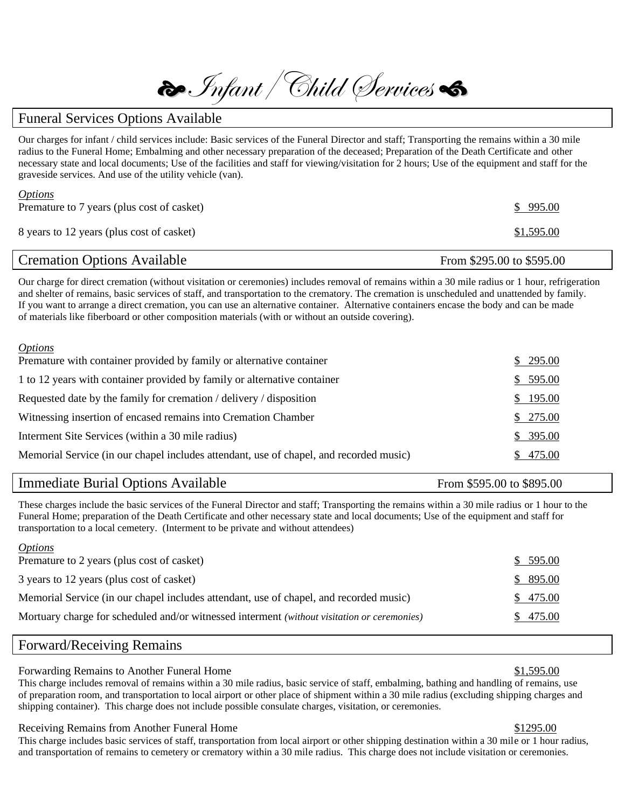$\bigcirc$ Infant | Child Services

#### Funeral Services Options Available

Our charges for infant / child services include: Basic services of the Funeral Director and staff; Transporting the remains within a 30 mile radius to the Funeral Home; Embalming and other necessary preparation of the deceased; Preparation of the Death Certificate and other necessary state and local documents; Use of the facilities and staff for viewing/visitation for 2 hours; Use of the equipment and staff for the graveside services. And use of the utility vehicle (van).

| <i><u><b>Options</b></u></i>               |            |
|--------------------------------------------|------------|
| Premature to 7 years (plus cost of casket) | \$995.00   |
|                                            |            |
| 8 years to 12 years (plus cost of casket)  | \$1,595.00 |
|                                            |            |

## Cremation Options Available From \$295.00 to \$595.00

Our charge for direct cremation (without visitation or ceremonies) includes removal of remains within a 30 mile radius or 1 hour, refrigeration and shelter of remains, basic services of staff, and transportation to the crematory. The cremation is unscheduled and unattended by family. If you want to arrange a direct cremation, you can use an alternative container. Alternative containers encase the body and can be made of materials like fiberboard or other composition materials (with or without an outside covering).

| <i>Options</i>                                                                         |          |
|----------------------------------------------------------------------------------------|----------|
| Premature with container provided by family or alternative container                   | \$295.00 |
| 1 to 12 years with container provided by family or alternative container               | \$595.00 |
| Requested date by the family for cremation / delivery / disposition                    | \$195.00 |
| Witnessing insertion of encased remains into Cremation Chamber                         | \$275.00 |
| Interment Site Services (within a 30 mile radius)                                      | \$395.00 |
| Memorial Service (in our chapel includes attendant, use of chapel, and recorded music) | \$475.00 |
|                                                                                        |          |

### Immediate Burial Options Available From \$595.00 to \$895.00

These charges include the basic services of the Funeral Director and staff; Transporting the remains within a 30 mile radius or 1 hour to the Funeral Home; preparation of the Death Certificate and other necessary state and local documents; Use of the equipment and staff for transportation to a local cemetery. (Interment to be private and without attendees)

| <i><b>Options</b></i>                                                                       |          |
|---------------------------------------------------------------------------------------------|----------|
| Premature to 2 years (plus cost of casket)                                                  | \$595.00 |
| 3 years to 12 years (plus cost of casket)                                                   | \$895.00 |
| Memorial Service (in our chapel includes attendant, use of chapel, and recorded music)      | \$475.00 |
| Mortuary charge for scheduled and/or witnessed interment (without visitation or ceremonies) | \$475.00 |
|                                                                                             |          |

#### Forward/Receiving Remains

*Options*

#### Forwarding Remains to Another Funeral Home  $$1,595.00$

This charge includes removal of remains within a 30 mile radius, basic service of staff, embalming, bathing and handling of remains, use of preparation room, and transportation to local airport or other place of shipment within a 30 mile radius (excluding shipping charges and shipping container). This charge does not include possible consulate charges, visitation, or ceremonies.

#### Receiving Remains from Another Funeral Home  $$1295.00$

This charge includes basic services of staff, transportation from local airport or other shipping destination within a 30 mile or 1 hour radius, and transportation of remains to cemetery or crematory within a 30 mile radius. This charge does not include visitation or ceremonies.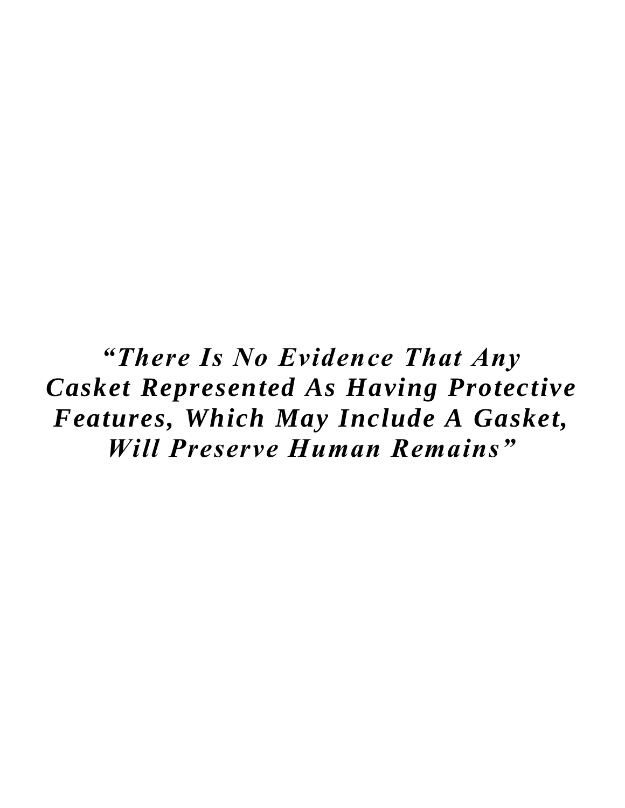*"There Is No Evidence That Any Casket Represented As Having Protective Features, Which May Include A Gasket, Will Preserve Human Remains"*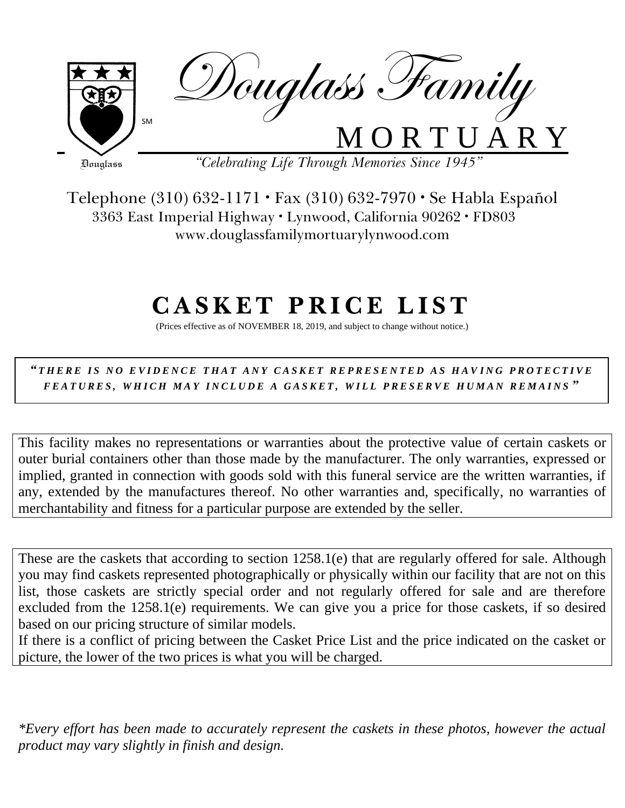

Telephone (310) 632-1171 · Fax (310) 632-7970 · Se Habla Español 3363 East Imperial Highway · Lynwood, California 90262 · FD803 www.douglassfamilymortuarylynwood.com

# **C A S K E T P R I C E L I S T**

(Prices effective as of NOVEMBER 18, 2019, and subject to change without notice.)

*" T H E R E I S N O E V I D E N C E T H A T A N Y C A S K E T R E P R E S E N T E D A S H A V I N G P R O T E C T I V E F E A T U R E S , W H I C H M A Y I N C L U D E A G A S K E T , W I L L P R E S E R V E H U M A N R E M A I N S "*

This facility makes no representations or warranties about the protective value of certain caskets or outer burial containers other than those made by the manufacturer. The only warranties, expressed or implied, granted in connection with goods sold with this funeral service are the written warranties, if any, extended by the manufactures thereof. No other warranties and, specifically, no warranties of merchantability and fitness for a particular purpose are extended by the seller.

These are the caskets that according to section 1258.1(e) that are regularly offered for sale. Although you may find caskets represented photographically or physically within our facility that are not on this list, those caskets are strictly special order and not regularly offered for sale and are therefore excluded from the 1258.1(e) requirements. We can give you a price for those caskets, if so desired based on our pricing structure of similar models.

If there is a conflict of pricing between the Casket Price List and the price indicated on the casket or picture, the lower of the two prices is what you will be charged.

*\*Every effort has been made to accurately represent the caskets in these photos, however the actual product may vary slightly in finish and design.*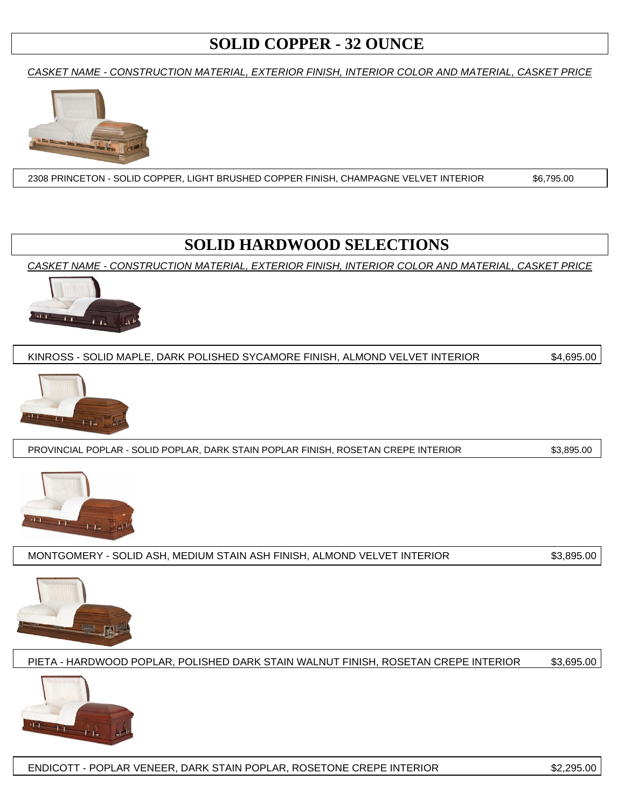## **SOLID COPPER - 32 OUNCE**

*CASKET NAME - CONSTRUCTION MATERIAL, EXTERIOR FINISH, INTERIOR COLOR AND MATERIAL, CASKET PRICE*



2308 PRINCETON - SOLID COPPER, LIGHT BRUSHED COPPER FINISH, CHAMPAGNE VELVET INTERIOR \$6,795.00

## **SOLID HARDWOOD SELECTIONS**

*CASKET NAME - CONSTRUCTION MATERIAL, EXTERIOR FINISH, INTERIOR COLOR AND MATERIAL, CASKET PRICE*



KINROSS - SOLID MAPLE, DARK POLISHED SYCAMORE FINISH, ALMOND VELVET INTERIOR \$4,695.00



PROVINCIAL POPLAR - SOLID POPLAR, DARK STAIN POPLAR FINISH, ROSETAN CREPE INTERIOR \$3,895.00



MONTGOMERY - SOLID ASH, MEDIUM STAIN ASH FINISH, ALMOND VELVET INTERIOR \$3,895.00



PIETA - HARDWOOD POPLAR, POLISHED DARK STAIN WALNUT FINISH, ROSETAN CREPE INTERIOR \$3,695.00



ENDICOTT - POPLAR VENEER, DARK STAIN POPLAR, ROSETONE CREPE INTERIOR \$2,295.00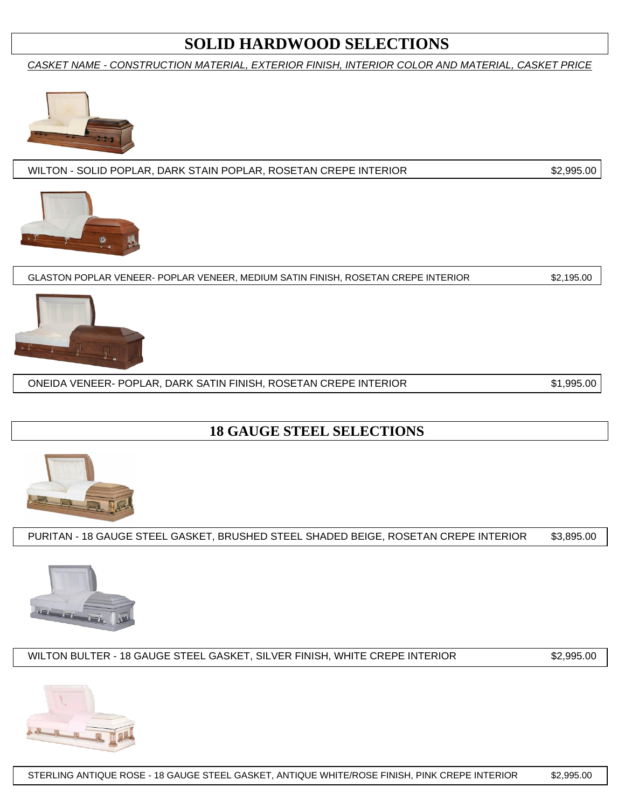## **SOLID HARDWOOD SELECTIONS**

*CASKET NAME - CONSTRUCTION MATERIAL, EXTERIOR FINISH, INTERIOR COLOR AND MATERIAL, CASKET PRICE*



WILTON - SOLID POPLAR, DARK STAIN POPLAR, ROSETAN CREPE INTERIOR \$2,995.00



GLASTON POPLAR VENEER- POPLAR VENEER, MEDIUM SATIN FINISH, ROSETAN CREPE INTERIOR \$2,195.00



ONEIDA VENEER- POPLAR, DARK SATIN FINISH, ROSETAN CREPE INTERIOR \$1,995.00

## **18 GAUGE STEEL SELECTIONS**



PURITAN - 18 GAUGE STEEL GASKET, BRUSHED STEEL SHADED BEIGE, ROSETAN CREPE INTERIOR \$3,895.00



WILTON BULTER - 18 GAUGE STEEL GASKET, SILVER FINISH, WHITE CREPE INTERIOR \$2,995.00

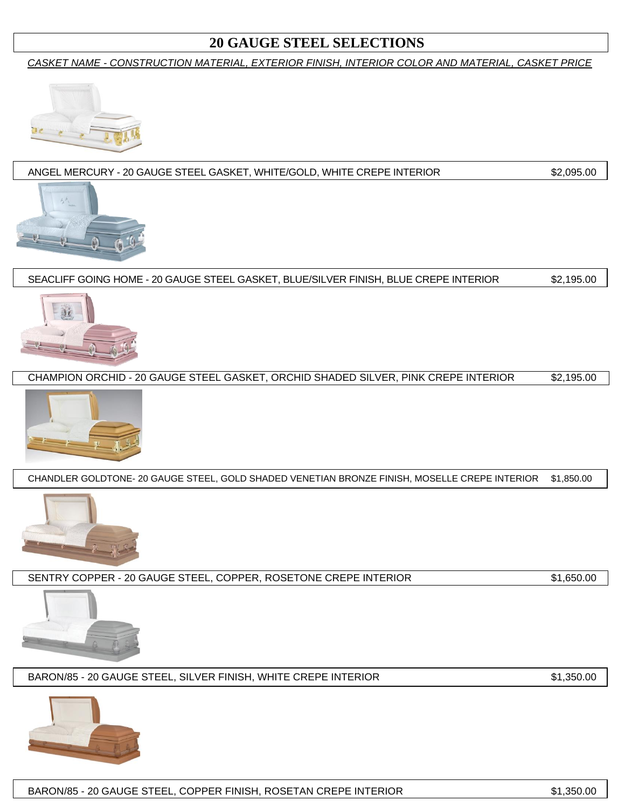### **20 GAUGE STEEL SELECTIONS**

*CASKET NAME - CONSTRUCTION MATERIAL, EXTERIOR FINISH, INTERIOR COLOR AND MATERIAL, CASKET PRICE*



#### ANGEL MERCURY - 20 GAUGE STEEL GASKET, WHITE/GOLD, WHITE CREPE INTERIOR \$2,095.00



SEACLIFF GOING HOME - 20 GAUGE STEEL GASKET, BLUE/SILVER FINISH, BLUE CREPE INTERIOR \$2,195.00



CHAMPION ORCHID - 20 GAUGE STEEL GASKET, ORCHID SHADED SILVER, PINK CREPE INTERIOR \$2,195.00



CHANDLER GOLDTONE- 20 GAUGE STEEL, GOLD SHADED VENETIAN BRONZE FINISH, MOSELLE CREPE INTERIOR \$1,850.00



SENTRY COPPER - 20 GAUGE STEEL, COPPER, ROSETONE CREPE INTERIOR \$1,650.00



BARON/85 - 20 GAUGE STEEL, SILVER FINISH, WHITE CREPE INTERIOR  $$1,350.00$ 

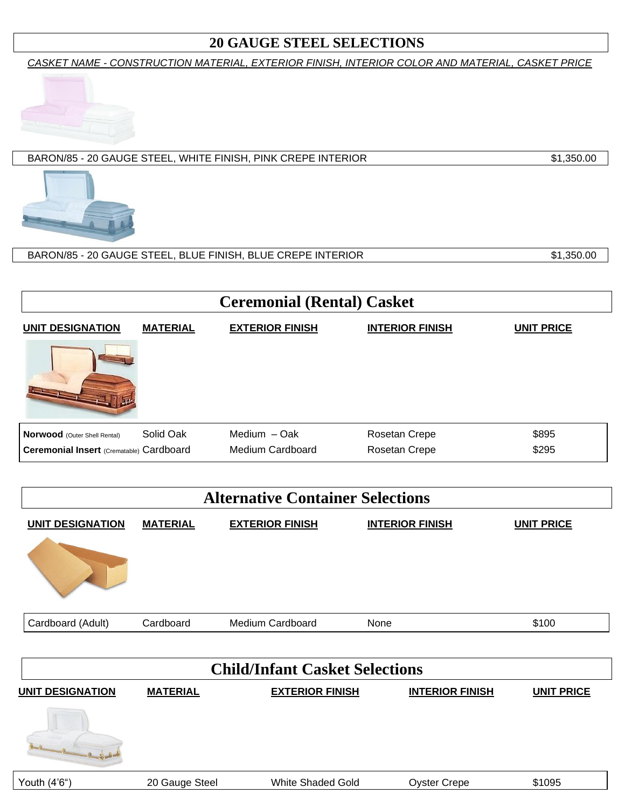## **20 GAUGE STEEL SELECTIONS**

*CASKET NAME - CONSTRUCTION MATERIAL, EXTERIOR FINISH, INTERIOR COLOR AND MATERIAL, CASKET PRICE*



#### BARON/85 - 20 GAUGE STEEL, WHITE FINISH, PINK CREPE INTERIOR \$1,350.00



### BARON/85 - 20 GAUGE STEEL, BLUE FINISH, BLUE CREPE INTERIOR \$1,350.00

| <b>Ceremonial (Rental) Casket</b>        |                 |                        |                        |                   |  |  |
|------------------------------------------|-----------------|------------------------|------------------------|-------------------|--|--|
| <b>UNIT DESIGNATION</b>                  | <b>MATERIAL</b> | <b>EXTERIOR FINISH</b> | <b>INTERIOR FINISH</b> | <b>UNIT PRICE</b> |  |  |
|                                          |                 |                        |                        |                   |  |  |
| Norwood (Outer Shell Rental)             | Solid Oak       | Medium - Oak           | Rosetan Crepe          | \$895             |  |  |
| Ceremonial Insert (Crematable) Cardboard |                 | Medium Cardboard       | Rosetan Crepe          | \$295             |  |  |

| <b>Alternative Container Selections</b> |                 |                        |                        |                   |  |  |  |
|-----------------------------------------|-----------------|------------------------|------------------------|-------------------|--|--|--|
| <b>UNIT DESIGNATION</b>                 | <b>MATERIAL</b> | <b>EXTERIOR FINISH</b> | <b>INTERIOR FINISH</b> | <b>UNIT PRICE</b> |  |  |  |
|                                         |                 |                        |                        |                   |  |  |  |
| Cardboard (Adult)                       | Cardboard       | Medium Cardboard       | None                   | \$100             |  |  |  |
|                                         |                 |                        |                        |                   |  |  |  |

| <b>Child/Infant Casket Selections</b>                                                                                                                                                                                          |                 |                        |                        |                   |  |  |  |  |
|--------------------------------------------------------------------------------------------------------------------------------------------------------------------------------------------------------------------------------|-----------------|------------------------|------------------------|-------------------|--|--|--|--|
| <b>UNIT DESIGNATION</b>                                                                                                                                                                                                        | <b>MATERIAL</b> | <b>EXTERIOR FINISH</b> | <b>INTERIOR FINISH</b> | <b>UNIT PRICE</b> |  |  |  |  |
| and the first state of the local division in the local division in the local division in the local division in the local division in the local division in the local division in the local division in the local division in t |                 |                        |                        |                   |  |  |  |  |
| Youth (4'6")                                                                                                                                                                                                                   | 20 Gauge Steel  | White Shaded Gold      | <b>Oyster Crepe</b>    | \$1095            |  |  |  |  |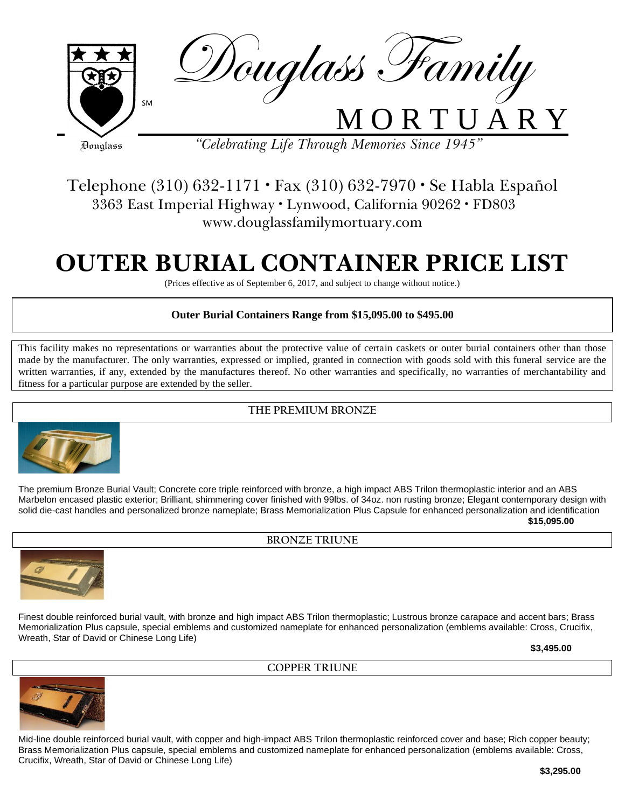

## Telephone (310) 632-1171 · Fax (310) 632-7970 · Se Habla Español 3363 East Imperial Highway · Lynwood, California 90262 · FD803 www.douglassfamilymortuary.com

# **OUTER BURIAL CONTAINER PRICE LIST**

(Prices effective as of September 6, 2017, and subject to change without notice.)

#### **Outer Burial Containers Range from \$15,095.00 to \$495.00**

This facility makes no representations or warranties about the protective value of certain caskets or outer burial containers other than those This factury makes no representations of warranties about the protective value of certain caskets of outer burial containers other than those made by the manufacturer. The only warranties, expressed or implied, granted in written warranties, if any, extended by the manufactures thereof. No other warranties and specifically, no warranties of merchantability and fitness for a particular purpose are extended by the seller.

#### **THE PREMIUM BRONZE**



The premium Bronze Burial Vault; Concrete core triple reinforced with bronze, a high impact ABS Trilon thermoplastic interior and an ABS Marbelon encased plastic exterior; Brilliant, shimmering cover finished with 99lbs. of 34oz. non rusting bronze; Elegant contemporary design with solid die-cast handles and personalized bronze nameplate; Brass Memorialization Plus Capsule for enhanced personalization and identification **\$15,095.00**

**BRONZE TRIUNE**



Finest double reinforced burial vault, with bronze and high impact ABS Trilon thermoplastic; Lustrous bronze carapace and accent bars; Brass Memorialization Plus capsule, special emblems and customized nameplate for enhanced personalization (emblems available: Cross, Crucifix, Wreath, Star of David or Chinese Long Life)

**COPPER TRIUNE**

**\$3,495.00**



Mid-line double reinforced burial vault, with copper and high-impact ABS Trilon thermoplastic reinforced cover and base; Rich copper beauty; Brass Memorialization Plus capsule, special emblems and customized nameplate for enhanced personalization (emblems available: Cross, Crucifix, Wreath, Star of David or Chinese Long Life)